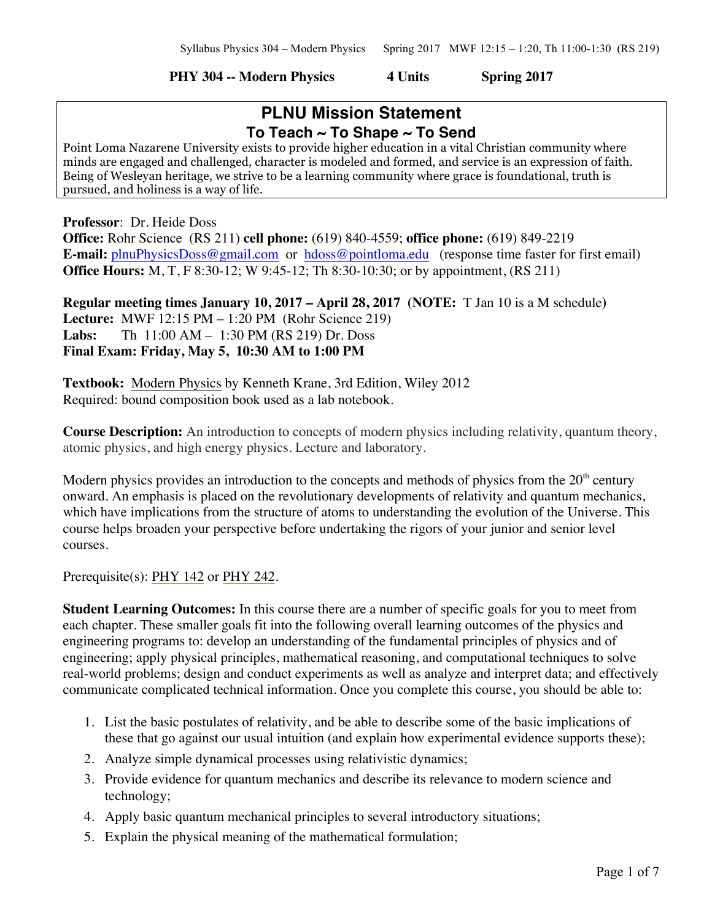#### **PHY 304 -- Modern Physics 4 Units Spring 2017**

# **PLNU Mission Statement To Teach ~ To Shape ~ To Send**

Point Loma Nazarene University exists to provide higher education in a vital Christian community where minds are engaged and challenged, character is modeled and formed, and service is an expression of faith. Being of Wesleyan heritage, we strive to be a learning community where grace is foundational, truth is pursued, and holiness is a way of life.

**Professor**: Dr. Heide Doss

**Office:** Rohr Science (RS 211) **cell phone:** (619) 840-4559; **office phone:** (619) 849-2219 **E-mail:** plnuPhysicsDoss@gmail.com or hdoss@pointloma.edu (response time faster for first email) **Office Hours:** M, T, F 8:30-12; W 9:45-12; Th 8:30-10:30; or by appointment, (RS 211)

**Regular meeting times January 10, 2017 – April 28, 2017 (NOTE:** T Jan 10 is a M schedule**) Lecture:** MWF 12:15 PM – 1:20 PM (Rohr Science 219) **Labs:** Th 11:00 AM – 1:30 PM (RS 219) Dr. Doss **Final Exam: Friday, May 5, 10:30 AM to 1:00 PM** 

**Textbook:** Modern Physics by Kenneth Krane, 3rd Edition, Wiley 2012 Required: bound composition book used as a lab notebook.

**Course Description:** An introduction to concepts of modern physics including relativity, quantum theory, atomic physics, and high energy physics. Lecture and laboratory.

Modern physics provides an introduction to the concepts and methods of physics from the  $20<sup>th</sup>$  century onward. An emphasis is placed on the revolutionary developments of relativity and quantum mechanics, which have implications from the structure of atoms to understanding the evolution of the Universe. This course helps broaden your perspective before undertaking the rigors of your junior and senior level courses.

Prerequisite(s): PHY 142 or PHY 242.

**Student Learning Outcomes:** In this course there are a number of specific goals for you to meet from each chapter. These smaller goals fit into the following overall learning outcomes of the physics and engineering programs to: develop an understanding of the fundamental principles of physics and of engineering; apply physical principles, mathematical reasoning, and computational techniques to solve real-world problems; design and conduct experiments as well as analyze and interpret data; and effectively communicate complicated technical information. Once you complete this course, you should be able to:

- 1. List the basic postulates of relativity, and be able to describe some of the basic implications of these that go against our usual intuition (and explain how experimental evidence supports these);
- 2. Analyze simple dynamical processes using relativistic dynamics;
- 3. Provide evidence for quantum mechanics and describe its relevance to modern science and technology;
- 4. Apply basic quantum mechanical principles to several introductory situations;
- 5. Explain the physical meaning of the mathematical formulation;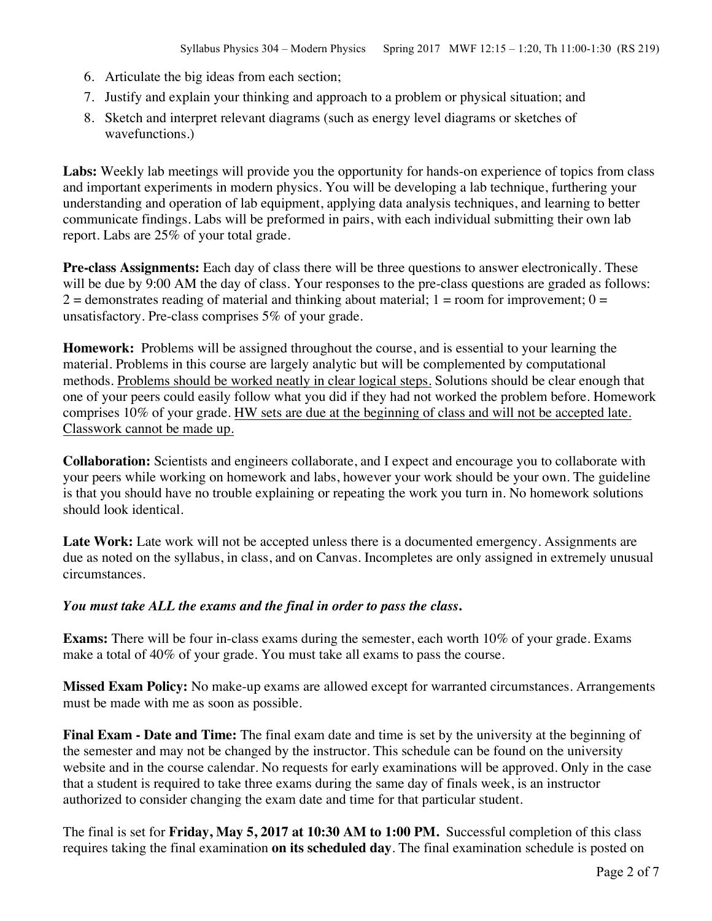- 6. Articulate the big ideas from each section;
- 7. Justify and explain your thinking and approach to a problem or physical situation; and
- 8. Sketch and interpret relevant diagrams (such as energy level diagrams or sketches of wavefunctions.)

**Labs:** Weekly lab meetings will provide you the opportunity for hands-on experience of topics from class and important experiments in modern physics. You will be developing a lab technique, furthering your understanding and operation of lab equipment, applying data analysis techniques, and learning to better communicate findings. Labs will be preformed in pairs, with each individual submitting their own lab report. Labs are 25% of your total grade.

**Pre-class Assignments:** Each day of class there will be three questions to answer electronically. These will be due by 9:00 AM the day of class. Your responses to the pre-class questions are graded as follows:  $2 =$  demonstrates reading of material and thinking about material; 1 = room for improvement; 0 = unsatisfactory. Pre-class comprises 5% of your grade.

**Homework:** Problems will be assigned throughout the course, and is essential to your learning the material. Problems in this course are largely analytic but will be complemented by computational methods. Problems should be worked neatly in clear logical steps. Solutions should be clear enough that one of your peers could easily follow what you did if they had not worked the problem before. Homework comprises 10% of your grade. HW sets are due at the beginning of class and will not be accepted late. Classwork cannot be made up.

**Collaboration:** Scientists and engineers collaborate, and I expect and encourage you to collaborate with your peers while working on homework and labs, however your work should be your own. The guideline is that you should have no trouble explaining or repeating the work you turn in. No homework solutions should look identical.

Late Work: Late work will not be accepted unless there is a documented emergency. Assignments are due as noted on the syllabus, in class, and on Canvas. Incompletes are only assigned in extremely unusual circumstances.

#### *You must take ALL the exams and the final in order to pass the class***.**

**Exams:** There will be four in-class exams during the semester, each worth 10% of your grade. Exams make a total of 40% of your grade. You must take all exams to pass the course.

**Missed Exam Policy:** No make-up exams are allowed except for warranted circumstances. Arrangements must be made with me as soon as possible.

**Final Exam - Date and Time:** The final exam date and time is set by the university at the beginning of the semester and may not be changed by the instructor. This schedule can be found on the university website and in the course calendar. No requests for early examinations will be approved. Only in the case that a student is required to take three exams during the same day of finals week, is an instructor authorized to consider changing the exam date and time for that particular student.

The final is set for **Friday, May 5, 2017 at 10:30 AM to 1:00 PM.** Successful completion of this class requires taking the final examination **on its scheduled day**. The final examination schedule is posted on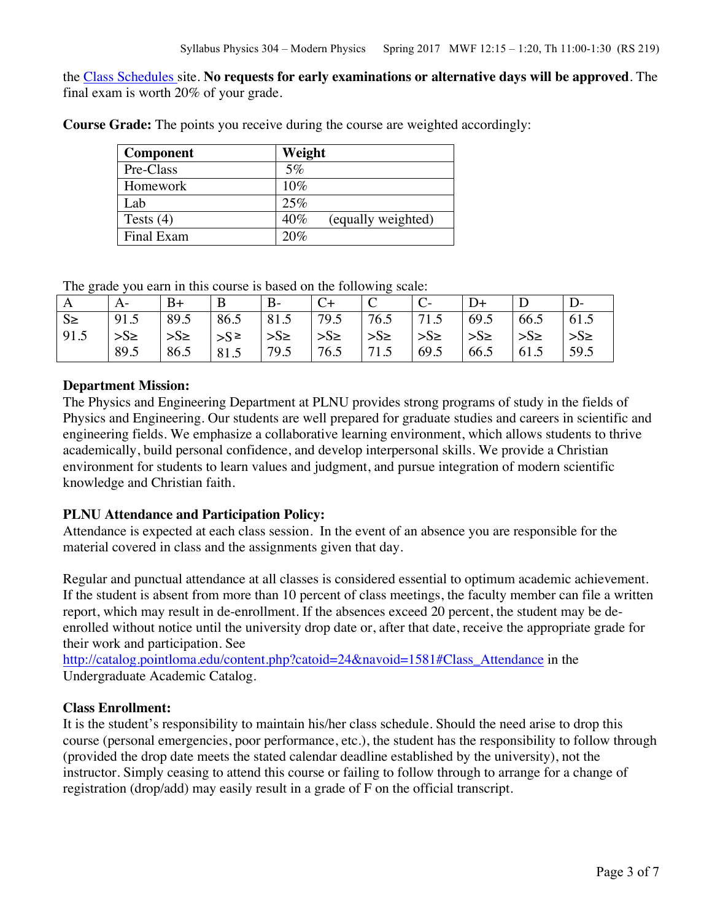the Class Schedules site. **No requests for early examinations or alternative days will be approved**. The final exam is worth 20% of your grade.

**Course Grade:** The points you receive during the course are weighted accordingly:

| <b>Component</b> | Weight                    |
|------------------|---------------------------|
| Pre-Class        | 5%                        |
| Homework         | 10%                       |
| Lab              | 25%                       |
| Tests $(4)$      | 40%<br>(equally weighted) |
| Final Exam       | 20%                       |

The grade you earn in this course is based on the following scale:

| A       | A-       | $B+$     | B                        | $B-$     |         | $\mathcal{C}$ |          |          |          |          |
|---------|----------|----------|--------------------------|----------|---------|---------------|----------|----------|----------|----------|
| $S \ge$ | 91.5     | 89.5     | 86.5                     | 81.5     | 79.5    | 76.5          | 71.5     | 69.5     | 66.5     | 61.5     |
| 91.5    | $>S\geq$ | $>S\geq$ | $\left  \right  > S \ge$ | $>S\geq$ | $>S\ge$ | $>S\geq$      | $>S\geq$ | $>S\geq$ | $>S\geq$ | $>S\geq$ |
|         | 89.5     | 86.5     | 81.5                     | 79.5     | 76.5    | 71.5          | 69.5     | 66.5     | 61.5     | 59.5     |

## **Department Mission:**

The Physics and Engineering Department at PLNU provides strong programs of study in the fields of Physics and Engineering. Our students are well prepared for graduate studies and careers in scientific and engineering fields. We emphasize a collaborative learning environment, which allows students to thrive academically, build personal confidence, and develop interpersonal skills. We provide a Christian environment for students to learn values and judgment, and pursue integration of modern scientific knowledge and Christian faith.

## **PLNU Attendance and Participation Policy:**

Attendance is expected at each class session. In the event of an absence you are responsible for the material covered in class and the assignments given that day.

Regular and punctual attendance at all classes is considered essential to optimum academic achievement. If the student is absent from more than 10 percent of class meetings, the faculty member can file a written report, which may result in de-enrollment. If the absences exceed 20 percent, the student may be deenrolled without notice until the university drop date or, after that date, receive the appropriate grade for their work and participation. See

http://catalog.pointloma.edu/content.php?catoid=24&navoid=1581#Class\_Attendance in the Undergraduate Academic Catalog.

## **Class Enrollment:**

It is the student's responsibility to maintain his/her class schedule. Should the need arise to drop this course (personal emergencies, poor performance, etc.), the student has the responsibility to follow through (provided the drop date meets the stated calendar deadline established by the university), not the instructor. Simply ceasing to attend this course or failing to follow through to arrange for a change of registration (drop/add) may easily result in a grade of F on the official transcript.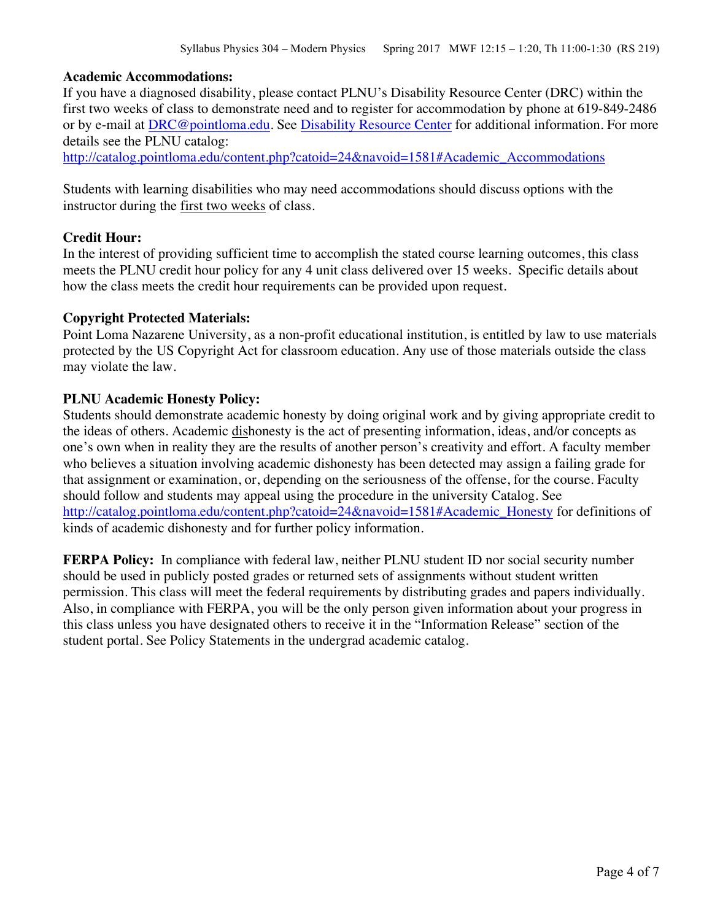#### **Academic Accommodations:**

If you have a diagnosed disability, please contact PLNU's Disability Resource Center (DRC) within the first two weeks of class to demonstrate need and to register for accommodation by phone at 619-849-2486 or by e-mail at DRC@pointloma.edu. See Disability Resource Center for additional information. For more details see the PLNU catalog:

http://catalog.pointloma.edu/content.php?catoid=24&navoid=1581#Academic\_Accommodations

Students with learning disabilities who may need accommodations should discuss options with the instructor during the first two weeks of class.

#### **Credit Hour:**

In the interest of providing sufficient time to accomplish the stated course learning outcomes, this class meets the PLNU credit hour policy for any 4 unit class delivered over 15 weeks. Specific details about how the class meets the credit hour requirements can be provided upon request.

#### **Copyright Protected Materials:**

Point Loma Nazarene University, as a non-profit educational institution, is entitled by law to use materials protected by the US Copyright Act for classroom education. Any use of those materials outside the class may violate the law.

#### **PLNU Academic Honesty Policy:**

Students should demonstrate academic honesty by doing original work and by giving appropriate credit to the ideas of others. Academic dishonesty is the act of presenting information, ideas, and/or concepts as one's own when in reality they are the results of another person's creativity and effort. A faculty member who believes a situation involving academic dishonesty has been detected may assign a failing grade for that assignment or examination, or, depending on the seriousness of the offense, for the course. Faculty should follow and students may appeal using the procedure in the university Catalog. See http://catalog.pointloma.edu/content.php?catoid=24&navoid=1581#Academic\_Honesty for definitions of kinds of academic dishonesty and for further policy information.

**FERPA Policy:** In compliance with federal law, neither PLNU student ID nor social security number should be used in publicly posted grades or returned sets of assignments without student written permission. This class will meet the federal requirements by distributing grades and papers individually. Also, in compliance with FERPA, you will be the only person given information about your progress in this class unless you have designated others to receive it in the "Information Release" section of the student portal. See Policy Statements in the undergrad academic catalog.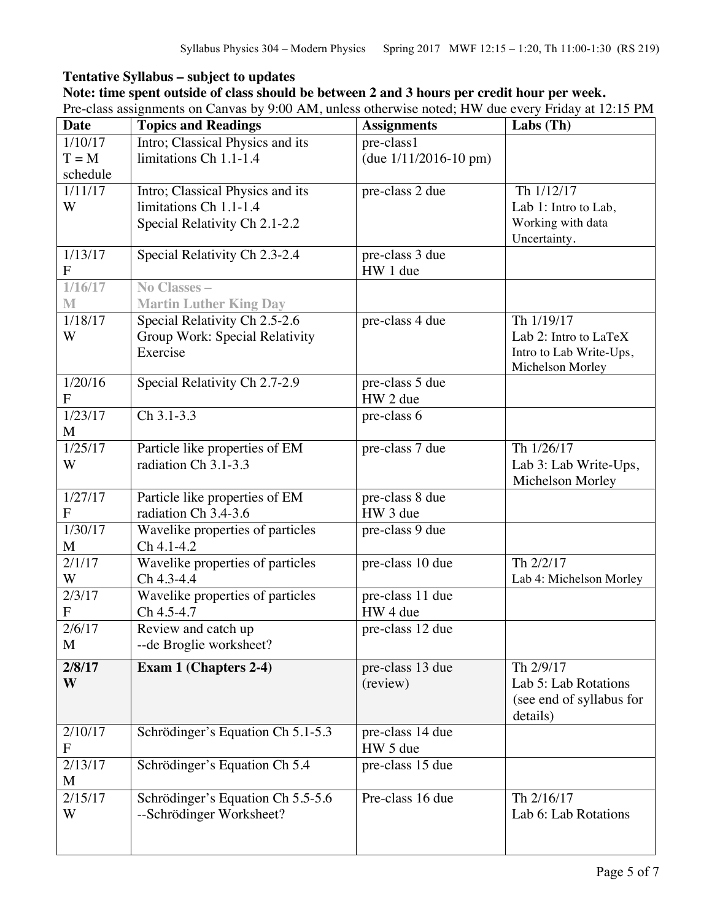## **Tentative Syllabus – subject to updates**

## **Note: time spent outside of class should be between 2 and 3 hours per credit hour per week.**

Pre-class assignments on Canvas by 9:00 AM, unless otherwise noted; HW due every Friday at 12:15 PM

| <b>Date</b>          | <b>Topics and Readings</b>        | <b>Assignments</b>           | $Labs$ (Th)              |
|----------------------|-----------------------------------|------------------------------|--------------------------|
| 1/10/17              | Intro; Classical Physics and its  | pre-class1                   |                          |
| $T = M$              | limitations Ch 1.1-1.4            | (due $1/11/2016 - 10$ pm)    |                          |
| schedule             |                                   |                              |                          |
| 1/11/17              | Intro; Classical Physics and its  | pre-class 2 due              | Th 1/12/17               |
| W                    | limitations Ch 1.1-1.4            |                              | Lab 1: Intro to Lab,     |
|                      | Special Relativity Ch 2.1-2.2     |                              | Working with data        |
|                      |                                   |                              | Uncertainty.             |
| 1/13/17<br>${\bf F}$ | Special Relativity Ch 2.3-2.4     | pre-class 3 due<br>HW 1 due  |                          |
| 1/16/17              | No Classes $-$                    |                              |                          |
| M                    | <b>Martin Luther King Day</b>     |                              |                          |
| 1/18/17              | Special Relativity Ch 2.5-2.6     | pre-class 4 due              | Th 1/19/17               |
| W                    | Group Work: Special Relativity    |                              | Lab 2: Intro to LaTeX    |
|                      | Exercise                          |                              | Intro to Lab Write-Ups,  |
|                      |                                   |                              | Michelson Morley         |
| 1/20/16              | Special Relativity Ch 2.7-2.9     | $\overline{pre-class 5}$ due |                          |
| $\mathbf{F}$         |                                   | HW 2 due                     |                          |
| 1/23/17              | Ch 3.1-3.3                        | pre-class 6                  |                          |
| M                    |                                   |                              |                          |
| 1/25/17              | Particle like properties of EM    | pre-class 7 due              | Th 1/26/17               |
| W                    | radiation Ch 3.1-3.3              |                              | Lab 3: Lab Write-Ups,    |
|                      |                                   |                              | Michelson Morley         |
| 1/27/17              | Particle like properties of EM    | pre-class 8 due              |                          |
| $\mathbf{F}$         | radiation Ch 3.4-3.6              | HW 3 due                     |                          |
| 1/30/17              | Wavelike properties of particles  | pre-class 9 due              |                          |
| M                    | $Ch 4.1 - 4.2$                    |                              |                          |
| 2/1/17               | Wavelike properties of particles  | pre-class 10 due             | Th 2/2/17                |
| W                    | Ch 4.3-4.4                        |                              | Lab 4: Michelson Morley  |
| 2/3/17               | Wavelike properties of particles  | pre-class 11 due             |                          |
| ${\bf F}$            | Ch 4.5-4.7                        | HW 4 due                     |                          |
| 2/6/17               | Review and catch up               | pre-class 12 due             |                          |
| M                    | --de Broglie worksheet?           |                              |                          |
| 2/8/17               | Exam 1 (Chapters 2-4)             | pre-class 13 due             | Th 2/9/17                |
| W                    |                                   | (review)                     | Lab 5: Lab Rotations     |
|                      |                                   |                              | (see end of syllabus for |
|                      |                                   |                              | details)                 |
| 2/10/17              | Schrödinger's Equation Ch 5.1-5.3 | pre-class 14 due             |                          |
| F                    |                                   | HW 5 due                     |                          |
| 2/13/17              | Schrödinger's Equation Ch 5.4     | pre-class 15 due             |                          |
| M                    |                                   |                              |                          |
| 2/15/17              | Schrödinger's Equation Ch 5.5-5.6 | Pre-class 16 due             | Th 2/16/17               |
| W                    | --Schrödinger Worksheet?          |                              | Lab 6: Lab Rotations     |
|                      |                                   |                              |                          |
|                      |                                   |                              |                          |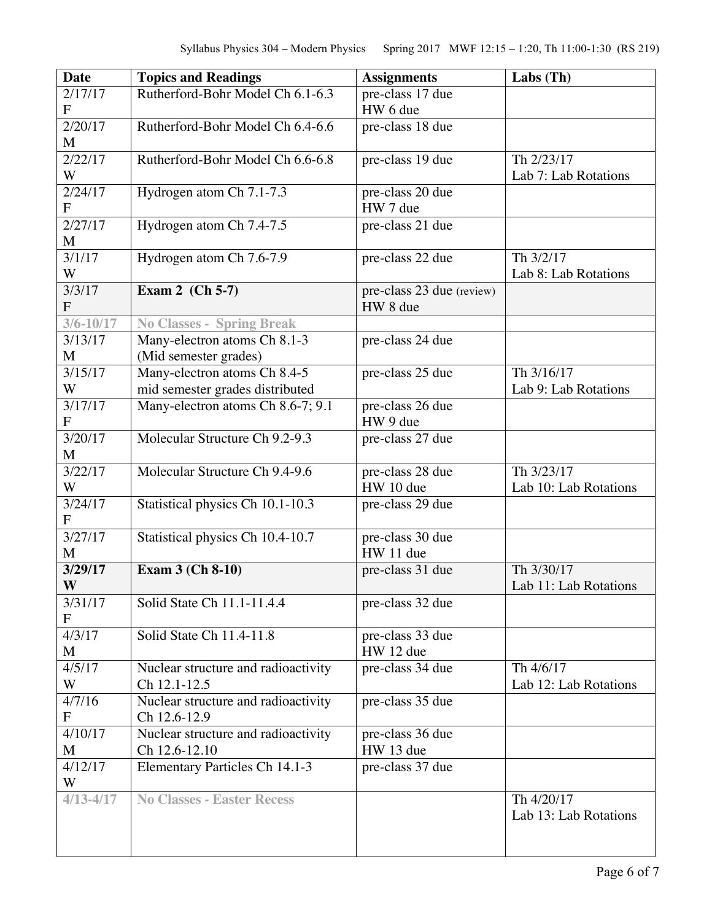| <b>Date</b>               | <b>Topics and Readings</b>                            | <b>Assignments</b>                    | Labs $(Th)$                         |
|---------------------------|-------------------------------------------------------|---------------------------------------|-------------------------------------|
| 2/17/17<br>$\mathbf F$    | Rutherford-Bohr Model Ch 6.1-6.3                      | pre-class 17 due<br>HW 6 due          |                                     |
| 2/20/17<br>M              | Rutherford-Bohr Model Ch 6.4-6.6                      | pre-class 18 due                      |                                     |
| 2/22/17<br>W              | Rutherford-Bohr Model Ch 6.6-6.8                      | pre-class 19 due                      | Th 2/23/17                          |
| 2/24/17                   | Hydrogen atom Ch 7.1-7.3                              | pre-class 20 due                      | Lab 7: Lab Rotations                |
| F                         |                                                       | HW 7 due                              |                                     |
| 2/27/17<br>M              | Hydrogen atom Ch 7.4-7.5                              | pre-class 21 due                      |                                     |
| 3/1/17<br>W               | Hydrogen atom Ch 7.6-7.9                              | pre-class 22 due                      | Th 3/2/17<br>Lab 8: Lab Rotations   |
| 3/3/17<br>$\overline{F}$  | Exam 2 (Ch 5-7)                                       | pre-class 23 due (review)<br>HW 8 due |                                     |
| $3/6 - 10/17$             | <b>No Classes - Spring Break</b>                      |                                       |                                     |
| 3/13/17<br>M              | Many-electron atoms Ch 8.1-3<br>(Mid semester grades) | pre-class 24 due                      |                                     |
| $\frac{3}{15/17}$         | Many-electron atoms Ch 8.4-5                          | pre-class 25 due                      | Th 3/16/17                          |
| W                         | mid semester grades distributed                       |                                       | Lab 9: Lab Rotations                |
| 3/17/17<br>$\overline{F}$ | Many-electron atoms Ch 8.6-7; 9.1                     | pre-class 26 due<br>HW 9 due          |                                     |
| 3/20/17<br>M              | Molecular Structure Ch 9.2-9.3                        | pre-class 27 due                      |                                     |
| 3/22/17<br>W              | Molecular Structure Ch 9.4-9.6                        | pre-class 28 due<br>HW 10 due         | Th 3/23/17<br>Lab 10: Lab Rotations |
| 3/24/17<br>$\overline{F}$ | Statistical physics Ch 10.1-10.3                      | pre-class 29 due                      |                                     |
| 3/27/17<br>M              | Statistical physics Ch 10.4-10.7                      | pre-class 30 due<br>HW 11 due         |                                     |
| 3/29/17<br>W              | <b>Exam 3 (Ch 8-10)</b>                               | pre-class 31 due                      | Th 3/30/17<br>Lab 11: Lab Rotations |
| 3/31/17<br>F              | Solid State Ch 11.1-11.4.4                            | pre-class 32 due                      |                                     |
| 4/3/17<br>M               | Solid State Ch 11.4-11.8                              | pre-class 33 due<br>HW 12 due         |                                     |
| 4/5/17                    | Nuclear structure and radioactivity                   | pre-class 34 due                      | Th 4/6/17                           |
| W                         | Ch 12.1-12.5                                          |                                       | Lab 12: Lab Rotations               |
| 4/7/16<br>F               | Nuclear structure and radioactivity<br>Ch 12.6-12.9   | pre-class 35 due                      |                                     |
| 4/10/17                   | Nuclear structure and radioactivity                   | pre-class 36 due                      |                                     |
| M                         | Ch 12.6-12.10                                         | HW 13 due                             |                                     |
| 4/12/17<br>W              | Elementary Particles Ch 14.1-3                        | pre-class 37 due                      |                                     |
| $4/13 - 4/17$             | <b>No Classes - Easter Recess</b>                     |                                       | Th 4/20/17<br>Lab 13: Lab Rotations |